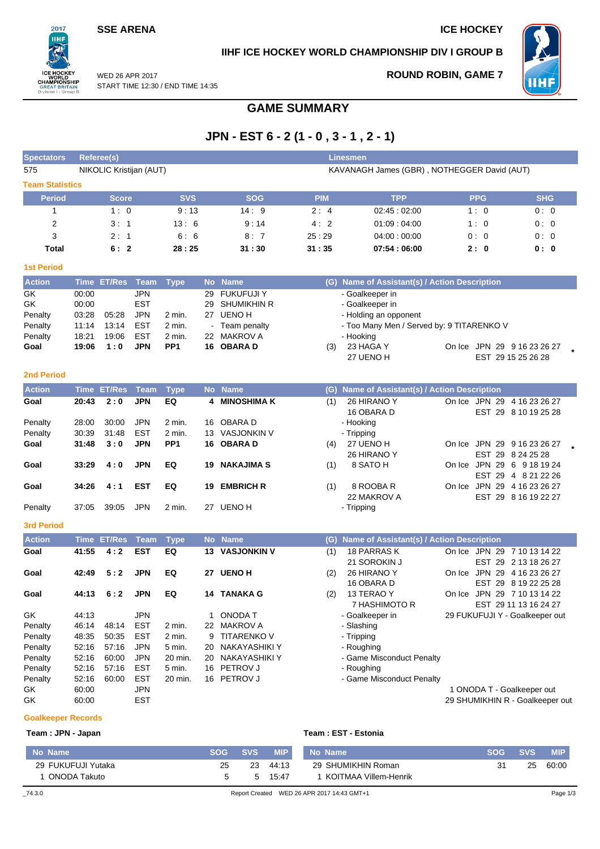## **SSE ARENA ICE HOCKEY**

 $2017$ **TIHE** 

**REATE** 

### **IIHF ICE HOCKEY WORLD CHAMPIONSHIP DIV I GROUP B**

**ROUND ROBIN, GAME 7**



WED 26 APR 2017 START TIME 12:30 / END TIME 14:35 on I - Group

# **GAME SUMMARY**

# **JPN - EST 6 - 2 (1 - 0 , 3 - 1 , 2 - 1)**

| <b>Spectators</b>      |       | <b>Referee(s)</b>       |             |                 |                                             |                       |            | <b>Linesmen</b>                               |                             |                                 |  |  |  |
|------------------------|-------|-------------------------|-------------|-----------------|---------------------------------------------|-----------------------|------------|-----------------------------------------------|-----------------------------|---------------------------------|--|--|--|
| 575                    |       | NIKOLIC Kristijan (AUT) |             |                 | KAVANAGH James (GBR), NOTHEGGER David (AUT) |                       |            |                                               |                             |                                 |  |  |  |
| <b>Team Statistics</b> |       |                         |             |                 |                                             |                       |            |                                               |                             |                                 |  |  |  |
| <b>Period</b>          |       | <b>Score</b>            |             | <b>SVS</b>      |                                             | <b>SOG</b>            | <b>PIM</b> | <b>TPP</b>                                    | <b>PPG</b>                  | <b>SHG</b>                      |  |  |  |
| 1                      |       | 1:0                     |             | 9:13            |                                             | 14:9                  | 2:4        | 02:45:02:00                                   | 1:0                         | 0:0                             |  |  |  |
| $\overline{c}$         |       | 3:1                     |             | 13:6            |                                             | 9:14                  | 4:2        | 01:09:04:00                                   | 1:0                         | 0:0                             |  |  |  |
| 3                      |       | 2:1                     |             | 6:6             |                                             | 8:7                   | 25:29      | 04:00:00:00                                   | 0:0                         | 0:0                             |  |  |  |
| <b>Total</b>           |       | 6:2                     |             | 28:25           |                                             | 31:30                 | 31:35      | 07:54:06:00                                   | 2:0                         | 0: 0                            |  |  |  |
| <b>1st Period</b>      |       |                         |             |                 |                                             |                       |            |                                               |                             |                                 |  |  |  |
| <b>Action</b>          |       | Time ET/Res             | Team        | <b>Type</b>     |                                             | No Name               |            | (G) Name of Assistant(s) / Action Description |                             |                                 |  |  |  |
| GK                     | 00:00 |                         | <b>JPN</b>  |                 | 29                                          | <b>FUKUFUJI Y</b>     |            | - Goalkeeper in                               |                             |                                 |  |  |  |
| GK                     | 00:00 |                         | <b>EST</b>  |                 | 29                                          | <b>SHUMIKHIN R</b>    |            | - Goalkeeper in                               |                             |                                 |  |  |  |
| Penalty                | 03:28 | 05:28                   | <b>JPN</b>  | 2 min.          | 27                                          | <b>UENO H</b>         |            | - Holding an opponent                         |                             |                                 |  |  |  |
| Penalty                | 11:14 | 13:14                   | <b>EST</b>  | 2 min.          |                                             | Team penalty          |            | - Too Many Men / Served by: 9 TITARENKO V     |                             |                                 |  |  |  |
| Penalty                | 18:21 | 19:06                   | <b>EST</b>  | 2 min.          |                                             | 22 MAKROV A           |            | - Hooking                                     |                             |                                 |  |  |  |
| Goal                   | 19:06 | 1:0                     | JPN         | PP <sub>1</sub> |                                             | 16 OBARA D            | (3)        | 23 HAGA Y                                     |                             | On Ice JPN 29 9 16 23 26 27     |  |  |  |
|                        |       |                         |             |                 |                                             |                       |            | 27 UENO H                                     |                             | EST 29 15 25 26 28              |  |  |  |
|                        |       |                         |             |                 |                                             |                       |            |                                               |                             |                                 |  |  |  |
| <b>2nd Period</b>      |       |                         |             |                 |                                             |                       |            |                                               |                             |                                 |  |  |  |
| <b>Action</b>          |       | <b>Time ET/Res</b>      | <b>Team</b> | <b>Type</b>     |                                             | No Name               | (G)        | Name of Assistant(s) / Action Description     |                             |                                 |  |  |  |
| Goal                   | 20:43 | 2:0                     | <b>JPN</b>  | EQ              |                                             | 4 MINOSHIMAK          | (1)        | 26 HIRANO Y                                   | On Ice JPN 29 4 16 23 26 27 |                                 |  |  |  |
|                        |       |                         |             |                 |                                             |                       |            | 16 OBARA D                                    |                             | EST 29 8 10 19 25 28            |  |  |  |
| Penalty                | 28:00 | 30:00                   | <b>JPN</b>  | 2 min.          |                                             | 16 OBARA D            |            | - Hooking                                     |                             |                                 |  |  |  |
| Penalty                | 30:39 | 31:48                   | <b>EST</b>  | 2 min.          |                                             | 13 VASJONKIN V        |            | - Tripping                                    |                             |                                 |  |  |  |
| Goal                   | 31:48 | 3:0                     | <b>JPN</b>  | PP <sub>1</sub> |                                             | 16 OBARA D            | (4)        | 27 UENO H                                     | On Ice JPN 29 9 16 23 26 27 |                                 |  |  |  |
|                        |       |                         |             |                 |                                             |                       |            | 26 HIRANO Y                                   |                             | EST 29 8 24 25 28               |  |  |  |
| Goal                   | 33:29 | 4:0                     | <b>JPN</b>  | EQ              | 19                                          | <b>NAKAJIMA S</b>     | (1)        | 8 SATO H                                      | On Ice JPN 29 6 9 18 19 24  |                                 |  |  |  |
|                        |       |                         |             |                 |                                             |                       |            |                                               |                             | EST 29 4 8 21 22 26             |  |  |  |
| Goal                   | 34:26 | 4:1                     | <b>EST</b>  | EQ              |                                             | 19 EMBRICH R          | (1)        | 8 ROOBA R                                     | On Ice JPN 29 4 16 23 26 27 |                                 |  |  |  |
|                        |       |                         |             |                 |                                             |                       |            | 22 MAKROV A                                   |                             | EST 29 8 16 19 22 27            |  |  |  |
| Penalty                | 37:05 | 39:05                   | <b>JPN</b>  | 2 min.          |                                             | 27 UENO H             |            | - Tripping                                    |                             |                                 |  |  |  |
| 3rd Period             |       |                         |             |                 |                                             |                       |            |                                               |                             |                                 |  |  |  |
| <b>Action</b>          |       | <b>Time ET/Res</b>      | <b>Team</b> | <b>Type</b>     |                                             | No Name               | (G)        | Name of Assistant(s) / Action Description     |                             |                                 |  |  |  |
| Goal                   | 41:55 | 4:2                     | <b>EST</b>  | EQ              |                                             | <b>13 VASJONKIN V</b> | (1)        | <b>18 PARRAS K</b>                            |                             | On Ice JPN 29 7 10 13 14 22     |  |  |  |
|                        |       |                         |             |                 |                                             |                       |            | 21 SOROKIN J                                  |                             | EST 29 2 13 18 26 27            |  |  |  |
| Goal                   | 42:49 | 5:2                     | <b>JPN</b>  | EQ              |                                             | 27 UENO H             | (2)        | 26 HIRANO Y                                   | On Ice JPN 29 4 16 23 26 27 |                                 |  |  |  |
|                        |       |                         |             |                 |                                             |                       |            | 16 OBARA D                                    |                             | EST 29 8 19 22 25 28            |  |  |  |
| Goal                   | 44:13 | 6:2                     | <b>JPN</b>  | EQ              |                                             | 14 TANAKA G           | (2)        | 13 TERAO Y                                    | On Ice JPN 29 7 10 13 14 22 |                                 |  |  |  |
|                        |       |                         |             |                 |                                             |                       |            | 7 HASHIMOTO R                                 |                             | EST 29 11 13 16 24 27           |  |  |  |
| GK                     | 44:13 |                         | JPN         |                 | 1                                           | ONODA T               |            | - Goalkeeper in                               |                             | 29 FUKUFUJI Y - Goalkeeper out  |  |  |  |
| Penalty                | 46:14 | 48:14                   | <b>EST</b>  | 2 min.          | 22                                          | MAKROV A              |            | - Slashing                                    |                             |                                 |  |  |  |
| Penalty                | 48:35 | 50:35                   | <b>EST</b>  | 2 min.          | 9                                           | <b>TITARENKO V</b>    |            | - Tripping                                    |                             |                                 |  |  |  |
| Penalty                | 52:16 | 57:16                   | <b>JPN</b>  | 5 min.          | 20                                          | <b>NAKAYASHIKI Y</b>  |            | - Roughing                                    |                             |                                 |  |  |  |
| Penalty                | 52:16 | 60:00                   | <b>JPN</b>  | 20 min.         | 20                                          | NAKAYASHIKI Y         |            | - Game Misconduct Penalty                     |                             |                                 |  |  |  |
| Penalty                | 52:16 | 57:16                   | <b>EST</b>  | 5 min.          | 16                                          | PETROV J              |            | - Roughing                                    |                             |                                 |  |  |  |
| Penalty                | 52:16 | 60:00                   | <b>EST</b>  | 20 min.         |                                             | 16 PETROV J           |            | - Game Misconduct Penalty                     |                             |                                 |  |  |  |
| GK                     | 60:00 |                         | <b>JPN</b>  |                 |                                             |                       |            |                                               | 1 ONODA T - Goalkeeper out  |                                 |  |  |  |
| GK                     | 60:00 |                         | <b>EST</b>  |                 |                                             |                       |            |                                               |                             | 29 SHUMIKHIN R - Goalkeeper out |  |  |  |

### **Goalkeeper Records**

#### **Team : JPN - Japan Team : EST - Estonia**

| No Name            | <b>SOG</b> | <b>SVS</b> | <b>MIP</b> | No Name                                    | <b>SOG</b> | <b>SVS</b> | <b>MIP</b> |
|--------------------|------------|------------|------------|--------------------------------------------|------------|------------|------------|
| 29 FUKUFUJI Yutaka | 25         | 23         | 44:13      | 29 SHUMIKHIN Roman                         | 31         | 25         | 60:00      |
| ONODA Takuto       |            | h.         | 15.47      | KOITMAA Villem-Henrik                      |            |            |            |
| $\_743.0$          |            |            |            | Report Created WED 26 APR 2017 14:43 GMT+1 |            |            | Page 1/3   |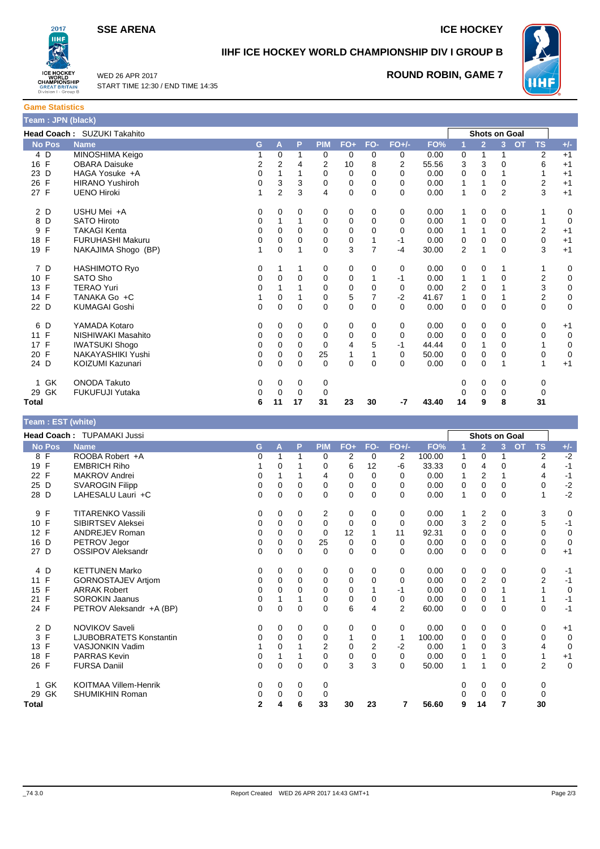**SSE ARENA ICE HOCKEY** 



# **IIHF ICE HOCKEY WORLD CHAMPIONSHIP DIV I GROUP B**

WED 26 APR 2017 START TIME 12:30 / END TIME 14:35

# **ROUND ROBIN, GAME 7**



WHF

**Game Statistics Team : JPN (black)**

| <u> Thomas Contractor (Marchael III)</u> |                                    |    |                |             |            |             |                |          |       |                |                |                      |                        |             |
|------------------------------------------|------------------------------------|----|----------------|-------------|------------|-------------|----------------|----------|-------|----------------|----------------|----------------------|------------------------|-------------|
|                                          | <b>Head Coach: SUZUKI Takahito</b> |    |                |             |            |             |                |          |       |                |                | <b>Shots on Goal</b> |                        |             |
| <b>No Pos</b>                            | <b>Name</b>                        | G. | A              | P           | <b>PIM</b> | $FO+$       | FO-            | $FO+/-$  | FO%   |                | $\overline{2}$ | $\overline{3}$       | <b>OT</b><br><b>TS</b> | $+/-$       |
| 4 D                                      | MINOSHIMA Keigo                    |    | 0              | 1           | 0          | 0           | 0              | 0        | 0.00  | 0              | 1              | 1                    | 2                      | $+1$        |
| 16 F                                     | <b>OBARA Daisuke</b>               | 2  | 2              | 4           | 2          | 10          | 8              | 2        | 55.56 | 3              | 3              | $\Omega$             | 6                      | $+1$        |
| 23 D                                     | HAGA Yosuke +A                     | 0  | 1              | 1           | $\Omega$   | $\Omega$    | $\Omega$       | $\Omega$ | 0.00  | 0              | 0              |                      |                        | $+1$        |
| $\mathsf{F}$<br>26                       | <b>HIRANO Yushiroh</b>             | 0  | 3              | 3           | 0          | 0           | 0              | 0        | 0.00  | 1              |                | $\mathbf 0$          | 2                      | $+1$        |
| 27 F                                     | <b>UENO Hiroki</b>                 | 1  | $\overline{2}$ | 3           | 4          | $\mathbf 0$ | $\mathbf{0}$   | $\Omega$ | 0.00  | $\mathbf{1}$   | 0              | 2                    | 3                      | $+1$        |
| 2 D                                      | USHU Mei +A                        | 0  | 0              | 0           | 0          | 0           | 0              | 0        | 0.00  | 1              | 0              | 0                    |                        | 0           |
| 8<br>D                                   | <b>SATO Hiroto</b>                 | 0  |                | 1           | $\Omega$   | 0           | 0              | 0        | 0.00  | 1              | 0              | $\mathbf 0$          |                        | 0           |
| F<br>9                                   | <b>TAKAGI Kenta</b>                | 0  | 0              | 0           | 0          | 0           | 0              | $\Omega$ | 0.00  | 1              |                | $\mathbf 0$          | $\overline{2}$         | $+1$        |
| $\mathsf{F}$<br>18                       | <b>FURUHASHI Makuru</b>            | 0  | 0              | $\Omega$    | 0          | 0           | 1              | $-1$     | 0.00  | 0              | 0              | $\mathbf 0$          | 0                      | $+1$        |
| 19 F                                     | NAKAJIMA Shogo (BP)                | 1  | 0              | 1           | 0          | 3           | $\overline{7}$ | $-4$     | 30.00 | $\overline{2}$ |                | $\Omega$             | 3                      | $+1$        |
| 7 D                                      | HASHIMOTO Ryo                      | 0  |                | 1           | 0          | 0           | 0              | 0        | 0.00  | 0              | 0              |                      | 1                      | $\mathbf 0$ |
| 10 F                                     | SATO Sho                           | 0  | 0              | 0           | 0          | 0           |                | -1       | 0.00  | 1              |                | 0                    | $\overline{2}$         | $\mathbf 0$ |
| 13 F                                     | <b>TERAO Yuri</b>                  | 0  |                |             | 0          | 0           | 0              | 0        | 0.00  | $\overline{2}$ | 0              |                      | 3                      | $\mathbf 0$ |
| 14 F                                     | TANAKA Go +C                       | 1  | $\Omega$       |             | 0          | 5           | 7              | $-2$     | 41.67 | 1              | 0              |                      | 2                      | $\mathbf 0$ |
| 22 D                                     | <b>KUMAGAI Goshi</b>               | 0  | 0              | $\mathbf 0$ | $\Omega$   | $\mathbf 0$ | $\mathbf 0$    | $\Omega$ | 0.00  | 0              | 0              | $\mathbf 0$          | $\mathbf 0$            | $\mathbf 0$ |
| 6 D                                      | YAMADA Kotaro                      | 0  | 0              | 0           | 0          | 0           | 0              | 0        | 0.00  | 0              | 0              | 0                    | 0                      | $+1$        |
| 11 F                                     | NISHIWAKI Masahito                 | 0  | 0              | 0           | 0          | $\mathbf 0$ | $\mathbf 0$    | 0        | 0.00  | 0              | $\mathbf 0$    | $\Omega$             | 0                      | $\mathbf 0$ |
| $\mathsf{F}$<br>17                       | <b>IWATSUKI Shogo</b>              | 0  | 0              | 0           | 0          | 4           | 5              | $-1$     | 44.44 | 0              |                | $\mathbf 0$          |                        | 0           |
| 20 F                                     | NAKAYASHIKI Yushi                  | 0  | 0              | $\Omega$    | 25         |             |                | $\Omega$ | 50.00 | 0              | 0              | $\Omega$             | 0                      | $\mathbf 0$ |
| 24 D                                     | KOIZUMI Kazunari                   | 0  | $\Omega$       | 0           | $\Omega$   | 0           | $\mathbf{0}$   | $\Omega$ | 0.00  | 0              | 0              |                      | 1                      | $+1$        |
| GK<br>1.                                 | <b>ONODA Takuto</b>                | 0  | 0              | 0           | 0          |             |                |          |       | 0              | 0              | 0                    | 0                      |             |
| 29 GK                                    | <b>FUKUFUJI Yutaka</b>             | 0  | 0              | 0           | 0          |             |                |          |       |                | 0              | 0                    | $\mathbf 0$            |             |
| Total                                    |                                    | 6  | 11             | 17          | 31         | 23          | 30             | -7       | 43.40 | 14             | 9              | 8                    | 31                     |             |

| Team : EST (white)   |                                |              |             |          |            |                |                         |                |        |          |                      |          |                |                |             |
|----------------------|--------------------------------|--------------|-------------|----------|------------|----------------|-------------------------|----------------|--------|----------|----------------------|----------|----------------|----------------|-------------|
|                      | Head Coach: TUPAMAKI Jussi     |              |             |          |            |                |                         |                |        |          | <b>Shots on Goal</b> |          |                |                |             |
| <b>No Pos</b>        | <b>Name</b>                    | G            | A           | P        | <b>PIM</b> | $FO+$          | FO-                     | $FO+/-$        | FO%    |          | $\overline{2}$       | 3        | $\overline{O}$ | <b>TS</b>      | $+/-$       |
| 8 F                  | ROOBA Robert +A                | 0            | 1           | 1        | $\Omega$   | $\overline{2}$ | 0                       | 2              | 100.00 | 1        | 0                    |          |                | $\overline{2}$ | $-2$        |
| 19 F                 | <b>EMBRICH Riho</b>            |              | 0           |          | 0          | 6              | 12                      | -6             | 33.33  | 0        | 4                    | $\Omega$ |                | 4              | $-1$        |
| 22 F                 | <b>MAKROV Andrei</b>           | 0            |             |          | 4          | 0              | 0                       | 0              | 0.00   |          | $\overline{2}$       |          |                | 4              | $-1$        |
| 25 D                 | <b>SVAROGIN Filipp</b>         | 0            | 0           | 0        | 0          | 0              | 0                       | 0              | 0.00   | 0        | 0                    | 0        |                | 0              | $-2$        |
| 28 D                 | LAHESALU Lauri +C              | 0            | $\Omega$    | $\Omega$ | $\Omega$   | $\Omega$       | $\Omega$                | 0              | 0.00   | 1        | $\Omega$             | $\Omega$ |                | 1              | $-2$        |
| F<br>9               | <b>TITARENKO Vassili</b>       | 0            | 0           | 0        | 2          | 0              | 0                       | 0              | 0.00   |          | 2                    | 0        |                | 3              | 0           |
| F<br>10 <sup>1</sup> | <b>SIBIRTSEV Aleksei</b>       | 0            | 0           | 0        | 0          | 0              | 0                       | 0              | 0.00   | 3        | $\overline{2}$       | $\Omega$ |                | 5              | $-1$        |
| 12 F                 | <b>ANDREJEV Roman</b>          | 0            | 0           | $\Omega$ | 0          | 12             |                         | 11             | 92.31  | 0        | 0                    | $\Omega$ |                | 0              | $\mathbf 0$ |
| 16 D                 | PETROV Jegor                   | 0            | $\mathbf 0$ | $\Omega$ | 25         | $\mathbf 0$    | $\Omega$                | 0              | 0.00   | 0        | $\mathbf 0$          | $\Omega$ |                | 0              | $\mathbf 0$ |
| 27 D                 | <b>OSSIPOV Aleksandr</b>       | 0            | 0           | 0        | 0          | 0              | $\Omega$                | 0              | 0.00   | 0        | 0                    | $\Omega$ |                | 0              | $+1$        |
| 4 D                  | <b>KETTUNEN Marko</b>          | 0            | 0           | 0        | 0          | 0              | 0                       | 0              | 0.00   | 0        | 0                    | 0        |                | 0              | $-1$        |
| 11 F                 | <b>GORNOSTAJEV Artiom</b>      | 0            | 0           | 0        | 0          | 0              | 0                       | 0              | 0.00   | 0        | $\overline{2}$       | 0        |                | $\overline{2}$ | $-1$        |
| $\mathsf{F}$<br>15   | <b>ARRAK Robert</b>            | 0            | $\Omega$    | $\Omega$ | 0          | 0              |                         | -1             | 0.00   | 0        | 0                    |          |                | 1              | $\mathbf 0$ |
| $\mathsf{F}$<br>21   | <b>SOROKIN Jaanus</b>          | 0            | 1           |          | 0          | 0              | 0                       | 0              | 0.00   | 0        | 0                    |          |                | 1              | $-1$        |
| 24 F                 | PETROV Aleksandr +A (BP)       | $\Omega$     | $\Omega$    | $\Omega$ | $\Omega$   | 6              | $\overline{\mathbf{4}}$ | $\overline{2}$ | 60.00  | $\Omega$ | $\overline{0}$       | $\Omega$ |                | $\Omega$       | $-1$        |
| 2 D                  | <b>NOVIKOV Saveli</b>          | 0            | 0           | 0        | 0          | 0              | 0                       | 0              | 0.00   | 0        | 0                    | 0        |                | 0              | $+1$        |
| F<br>3               | <b>LJUBOBRATETS Konstantin</b> | 0            | 0           | $\Omega$ | 0          | 1              | 0                       | 1              | 100.00 | 0        | 0                    | 0        |                | 0              | 0           |
| F<br>13              | <b>VASJONKIN Vadim</b>         |              | 0           |          | 2          | 0              | $\overline{2}$          | $-2$           | 0.00   |          | 0                    | 3        |                | 4              | 0           |
| 18 F                 | <b>PARRAS Kevin</b>            | 0            |             |          | 0          | 0              | 0                       | 0              | 0.00   | 0        |                      | 0        |                | 1              | $+1$        |
| 26 F                 | <b>FURSA Daniil</b>            | 0            | $\Omega$    | $\Omega$ | $\Omega$   | 3              | 3                       | 0              | 50.00  | 1        |                      | $\Omega$ |                | $\overline{2}$ | $\Omega$    |
| 1 GK                 | <b>KOITMAA Villem-Henrik</b>   | 0            | 0           | 0        | 0          |                |                         |                |        | 0        | 0                    | 0        |                | 0              |             |
| 29 GK                | <b>SHUMIKHIN Roman</b>         | 0            | 0           | 0        | 0          |                |                         |                |        | 0        | 0                    | 0        |                | 0              |             |
| <b>Total</b>         |                                | $\mathbf{2}$ | 4           | 6        | 33         | 30             | 23                      | 7              | 56.60  | 9        | 14                   | 7        |                | 30             |             |